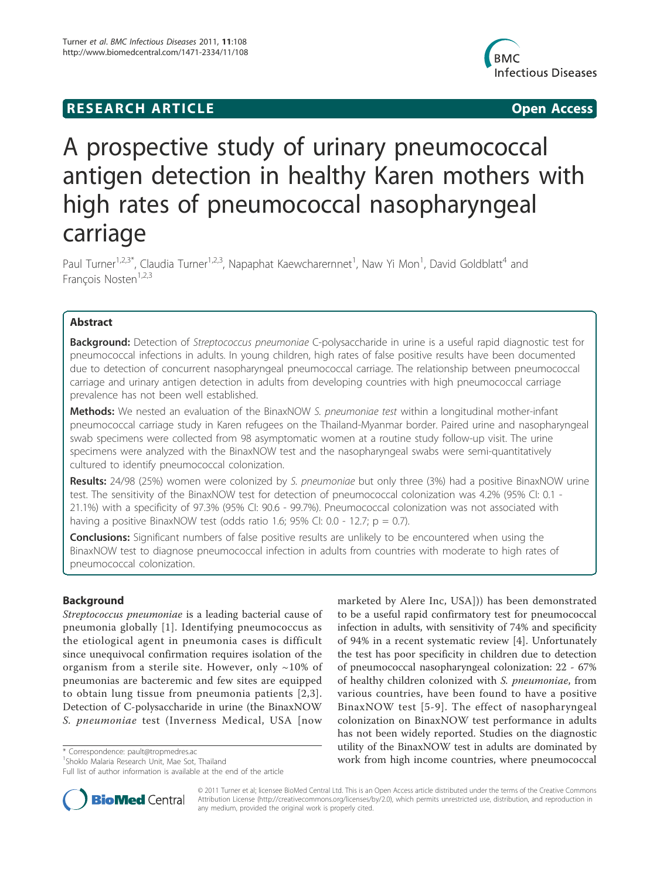## **RESEARCH ARTICLE Example 2018 CONSIDERING ACCESS**



# A prospective study of urinary pneumococcal antigen detection in healthy Karen mothers with high rates of pneumococcal nasopharyngeal carriage

Paul Turner<sup>1,2,3\*</sup>, Claudia Turner<sup>1,2,3</sup>, Napaphat Kaewcharernnet<sup>1</sup>, Naw Yi Mon<sup>1</sup>, David Goldblatt<sup>4</sup> and François Nosten<sup>1,2,3</sup>

## Abstract

Background: Detection of Streptococcus pneumoniae C-polysaccharide in urine is a useful rapid diagnostic test for pneumococcal infections in adults. In young children, high rates of false positive results have been documented due to detection of concurrent nasopharyngeal pneumococcal carriage. The relationship between pneumococcal carriage and urinary antigen detection in adults from developing countries with high pneumococcal carriage prevalence has not been well established.

Methods: We nested an evaluation of the BinaxNOW S. pneumoniae test within a longitudinal mother-infant pneumococcal carriage study in Karen refugees on the Thailand-Myanmar border. Paired urine and nasopharyngeal swab specimens were collected from 98 asymptomatic women at a routine study follow-up visit. The urine specimens were analyzed with the BinaxNOW test and the nasopharyngeal swabs were semi-quantitatively cultured to identify pneumococcal colonization.

Results: 24/98 (25%) women were colonized by S. pneumoniae but only three (3%) had a positive BinaxNOW urine test. The sensitivity of the BinaxNOW test for detection of pneumococcal colonization was 4.2% (95% CI: 0.1 - 21.1%) with a specificity of 97.3% (95% CI: 90.6 - 99.7%). Pneumococcal colonization was not associated with having a positive BinaxNOW test (odds ratio 1.6; 95% CI: 0.0 - 12.7;  $p = 0.7$ ).

**Conclusions:** Significant numbers of false positive results are unlikely to be encountered when using the BinaxNOW test to diagnose pneumococcal infection in adults from countries with moderate to high rates of pneumococcal colonization.

## **Background**

Streptococcus pneumoniae is a leading bacterial cause of pneumonia globally [1]. Identifying pneumococcus as the etiological agent in pneumonia cases is difficult since unequivocal confirmation requires isolation of the organism from a sterile site. However, only  $\sim$ 10% of pneumonias are bacteremic and few sites are equipped to obtain lung tissue from pneumonia patients [2,3]. Detection of C-polysaccharide in urine (the BinaxNOW S. pneumoniae test (Inverness Medical, USA [now

marketed by Alere Inc, USA])) has been demonstrated to be a useful rapid confirmatory test for pneumococcal infection in adults, with sensitivity of 74% and specificity of 94% in a recent systematic review [4]. Unfortunately the test has poor specificity in children due to detection of pneumococcal nasopharyngeal colonization: 22 - 67% of healthy children colonized with S. pneumoniae, from various countries, have been found to have a positive BinaxNOW test [5-9]. The effect of nasopharyngeal colonization on BinaxNOW test performance in adults has not been widely reported. Studies on the diagnostic utility of the BinaxNOW test in adults are dominated by work from high income countries, where preumococcal \* Correspondence: pault@tropmedres.ac \* Correspondence: pault@tropmedres.ac \* Correspondence: pault@tropmedres.ac \* Correspondence: pault@tropmedres.ac \* Correspondence i



© 2011 Turner et al; licensee BioMed Central Ltd. This is an Open Access article distributed under the terms of the Creative Commons Attribution License (http://creativecommons.org/licenses/by/2.0), which permits unrestricted use, distribution, and reproduction in any medium, provided the original work is properly cited.

<sup>1</sup> Shoklo Malaria Research Unit, Mae Sot, Thailand

Full list of author information is available at the end of the article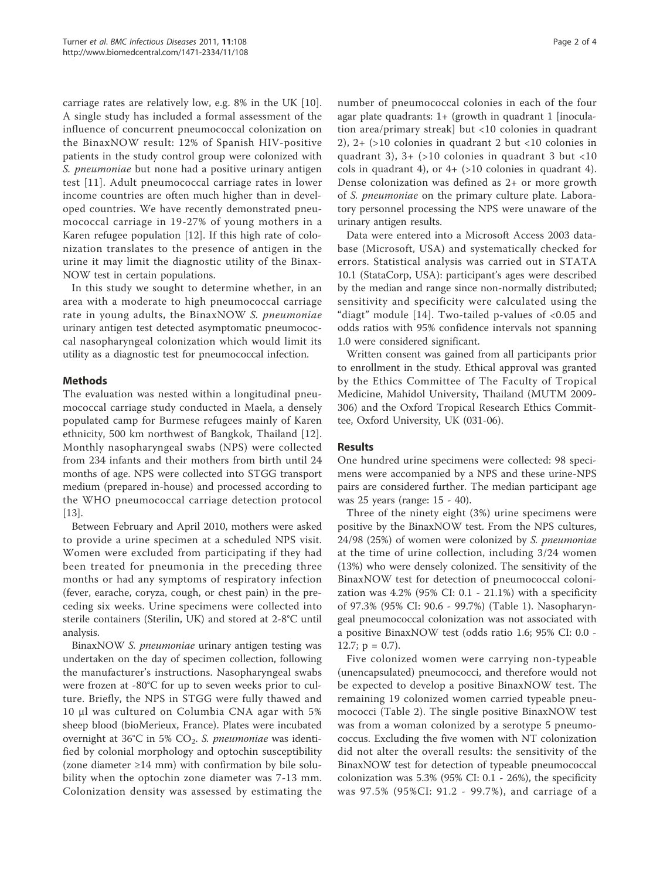carriage rates are relatively low, e.g. 8% in the UK [10]. A single study has included a formal assessment of the influence of concurrent pneumococcal colonization on the BinaxNOW result: 12% of Spanish HIV-positive patients in the study control group were colonized with S. pneumoniae but none had a positive urinary antigen test [11]. Adult pneumococcal carriage rates in lower income countries are often much higher than in developed countries. We have recently demonstrated pneumococcal carriage in 19-27% of young mothers in a Karen refugee population [12]. If this high rate of colonization translates to the presence of antigen in the urine it may limit the diagnostic utility of the Binax-NOW test in certain populations.

In this study we sought to determine whether, in an area with a moderate to high pneumococcal carriage rate in young adults, the BinaxNOW S. pneumoniae urinary antigen test detected asymptomatic pneumococcal nasopharyngeal colonization which would limit its utility as a diagnostic test for pneumococcal infection.

## Methods

The evaluation was nested within a longitudinal pneumococcal carriage study conducted in Maela, a densely populated camp for Burmese refugees mainly of Karen ethnicity, 500 km northwest of Bangkok, Thailand [12]. Monthly nasopharyngeal swabs (NPS) were collected from 234 infants and their mothers from birth until 24 months of age. NPS were collected into STGG transport medium (prepared in-house) and processed according to the WHO pneumococcal carriage detection protocol [13].

Between February and April 2010, mothers were asked to provide a urine specimen at a scheduled NPS visit. Women were excluded from participating if they had been treated for pneumonia in the preceding three months or had any symptoms of respiratory infection (fever, earache, coryza, cough, or chest pain) in the preceding six weeks. Urine specimens were collected into sterile containers (Sterilin, UK) and stored at 2-8°C until analysis.

BinaxNOW S. pneumoniae urinary antigen testing was undertaken on the day of specimen collection, following the manufacturer's instructions. Nasopharyngeal swabs were frozen at -80°C for up to seven weeks prior to culture. Briefly, the NPS in STGG were fully thawed and 10 μl was cultured on Columbia CNA agar with 5% sheep blood (bioMerieux, France). Plates were incubated overnight at  $36^{\circ}$ C in 5% CO<sub>2</sub>. S. pneumoniae was identified by colonial morphology and optochin susceptibility (zone diameter ≥14 mm) with confirmation by bile solubility when the optochin zone diameter was 7-13 mm. Colonization density was assessed by estimating the number of pneumococcal colonies in each of the four agar plate quadrants:  $1+$  (growth in quadrant 1 [inoculation area/primary streak] but <10 colonies in quadrant 2), 2+ (>10 colonies in quadrant 2 but <10 colonies in quadrant 3), 3+ (>10 colonies in quadrant 3 but <10 cols in quadrant 4), or  $4+$  (>10 colonies in quadrant 4). Dense colonization was defined as 2+ or more growth of S. pneumoniae on the primary culture plate. Laboratory personnel processing the NPS were unaware of the urinary antigen results.

Data were entered into a Microsoft Access 2003 database (Microsoft, USA) and systematically checked for errors. Statistical analysis was carried out in STATA 10.1 (StataCorp, USA): participant's ages were described by the median and range since non-normally distributed; sensitivity and specificity were calculated using the "diagt" module [14]. Two-tailed p-values of <0.05 and odds ratios with 95% confidence intervals not spanning 1.0 were considered significant.

Written consent was gained from all participants prior to enrollment in the study. Ethical approval was granted by the Ethics Committee of The Faculty of Tropical Medicine, Mahidol University, Thailand (MUTM 2009- 306) and the Oxford Tropical Research Ethics Committee, Oxford University, UK (031-06).

## Results

One hundred urine specimens were collected: 98 specimens were accompanied by a NPS and these urine-NPS pairs are considered further. The median participant age was 25 years (range: 15 - 40).

Three of the ninety eight (3%) urine specimens were positive by the BinaxNOW test. From the NPS cultures, 24/98 (25%) of women were colonized by S. pneumoniae at the time of urine collection, including 3/24 women (13%) who were densely colonized. The sensitivity of the BinaxNOW test for detection of pneumococcal colonization was 4.2% (95% CI: 0.1 - 21.1%) with a specificity of 97.3% (95% CI: 90.6 - 99.7%) (Table 1). Nasopharyngeal pneumococcal colonization was not associated with a positive BinaxNOW test (odds ratio 1.6; 95% CI: 0.0 - 12.7;  $p = 0.7$ ).

Five colonized women were carrying non-typeable (unencapsulated) pneumococci, and therefore would not be expected to develop a positive BinaxNOW test. The remaining 19 colonized women carried typeable pneumococci (Table 2). The single positive BinaxNOW test was from a woman colonized by a serotype 5 pneumococcus. Excluding the five women with NT colonization did not alter the overall results: the sensitivity of the BinaxNOW test for detection of typeable pneumococcal colonization was  $5.3\%$  (95% CI: 0.1 - 26%), the specificity was 97.5% (95%CI: 91.2 - 99.7%), and carriage of a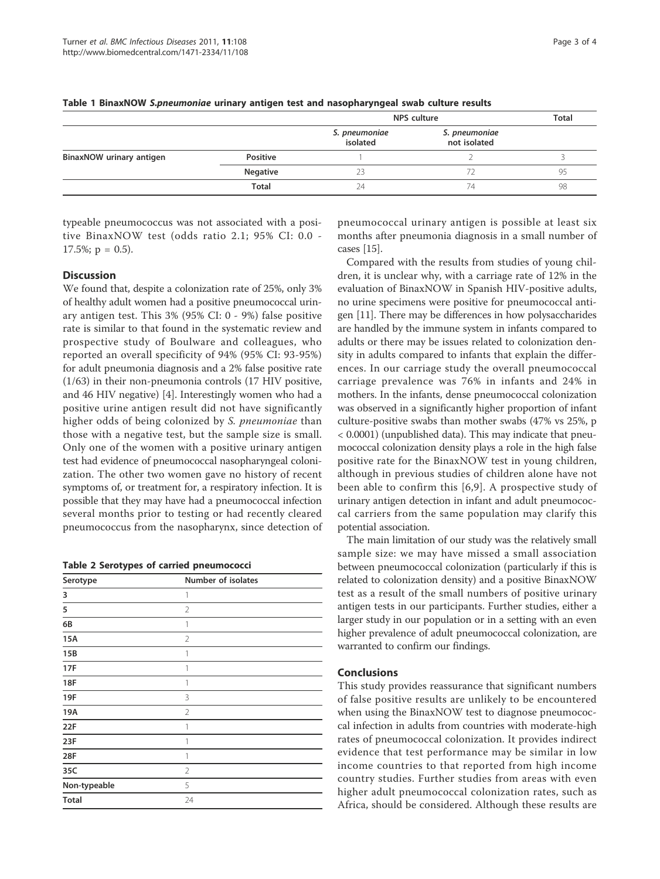|                          |                 | <b>NPS</b> culture        | <b>Total</b>                  |    |
|--------------------------|-----------------|---------------------------|-------------------------------|----|
|                          |                 | S. pneumoniae<br>isolated | S. pneumoniae<br>not isolated |    |
| BinaxNOW urinary antigen | Positive        |                           |                               |    |
|                          | <b>Negative</b> |                           |                               | 95 |
|                          | <b>Total</b>    | 24                        | 74                            | 98 |

Table 1 BinaxNOW S.pneumoniae urinary antigen test and nasopharyngeal swab culture results

typeable pneumococcus was not associated with a positive BinaxNOW test (odds ratio 2.1; 95% CI: 0.0 -  $17.5\%$ ; p = 0.5).

## **Discussion**

We found that, despite a colonization rate of 25%, only 3% of healthy adult women had a positive pneumococcal urinary antigen test. This 3% (95% CI: 0 - 9%) false positive rate is similar to that found in the systematic review and prospective study of Boulware and colleagues, who reported an overall specificity of 94% (95% CI: 93-95%) for adult pneumonia diagnosis and a 2% false positive rate (1/63) in their non-pneumonia controls (17 HIV positive, and 46 HIV negative) [4]. Interestingly women who had a positive urine antigen result did not have significantly higher odds of being colonized by S. pneumoniae than those with a negative test, but the sample size is small. Only one of the women with a positive urinary antigen test had evidence of pneumococcal nasopharyngeal colonization. The other two women gave no history of recent symptoms of, or treatment for, a respiratory infection. It is possible that they may have had a pneumococcal infection several months prior to testing or had recently cleared pneumococcus from the nasopharynx, since detection of

|  |  |  |  |  | <b>Table 2 Serotypes of carried pneumococci</b> |
|--|--|--|--|--|-------------------------------------------------|
|--|--|--|--|--|-------------------------------------------------|

| Serotype     | Number of isolates |
|--------------|--------------------|
| 3            | 1                  |
| 5            | $\overline{2}$     |
| 6B           | 1                  |
| 15A          | $\overline{2}$     |
| 15B          | 1                  |
| 17F          | 1                  |
| <b>18F</b>   | 1                  |
| 19F          | 3                  |
| 19A          | $\overline{2}$     |
| 22F          | 1                  |
| 23F          | 1                  |
| 28F          | 1                  |
| 35C          | $\overline{2}$     |
| Non-typeable | 5                  |
| <b>Total</b> | 24                 |

pneumococcal urinary antigen is possible at least six months after pneumonia diagnosis in a small number of cases [15].

Compared with the results from studies of young children, it is unclear why, with a carriage rate of 12% in the evaluation of BinaxNOW in Spanish HIV-positive adults, no urine specimens were positive for pneumococcal antigen [11]. There may be differences in how polysaccharides are handled by the immune system in infants compared to adults or there may be issues related to colonization density in adults compared to infants that explain the differences. In our carriage study the overall pneumococcal carriage prevalence was 76% in infants and 24% in mothers. In the infants, dense pneumococcal colonization was observed in a significantly higher proportion of infant culture-positive swabs than mother swabs (47% vs 25%, p < 0.0001) (unpublished data). This may indicate that pneumococcal colonization density plays a role in the high false positive rate for the BinaxNOW test in young children, although in previous studies of children alone have not been able to confirm this [6,9]. A prospective study of urinary antigen detection in infant and adult pneumococcal carriers from the same population may clarify this potential association.

The main limitation of our study was the relatively small sample size: we may have missed a small association between pneumococcal colonization (particularly if this is related to colonization density) and a positive BinaxNOW test as a result of the small numbers of positive urinary antigen tests in our participants. Further studies, either a larger study in our population or in a setting with an even higher prevalence of adult pneumococcal colonization, are warranted to confirm our findings.

### Conclusions

This study provides reassurance that significant numbers of false positive results are unlikely to be encountered when using the BinaxNOW test to diagnose pneumococcal infection in adults from countries with moderate-high rates of pneumococcal colonization. It provides indirect evidence that test performance may be similar in low income countries to that reported from high income country studies. Further studies from areas with even higher adult pneumococcal colonization rates, such as Africa, should be considered. Although these results are